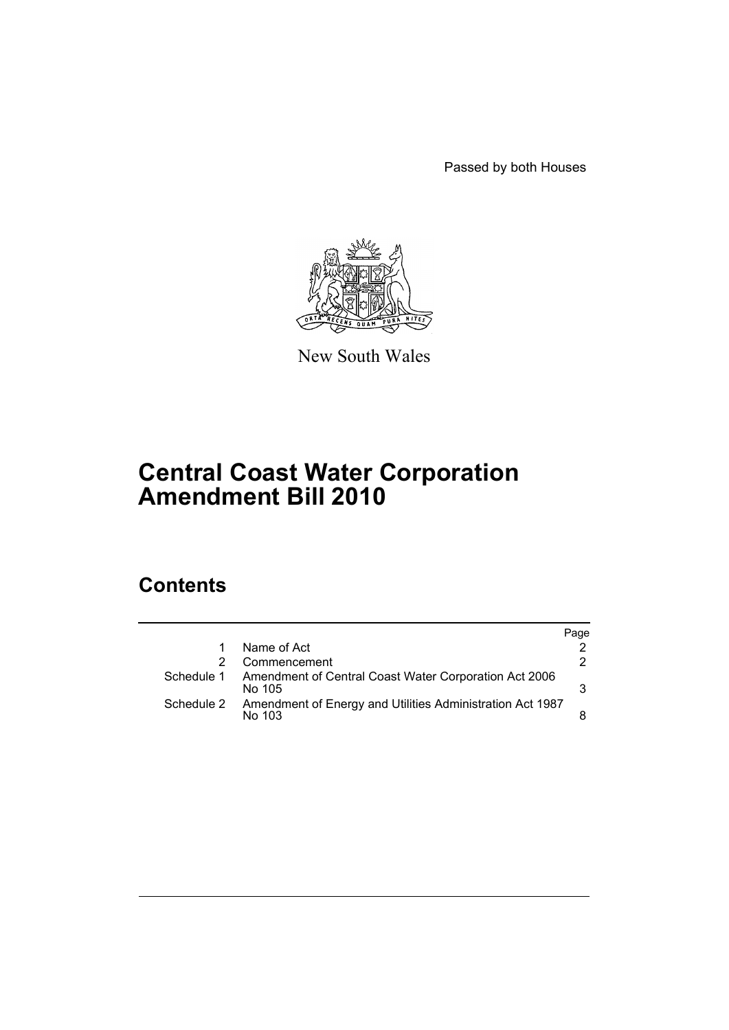Passed by both Houses



New South Wales

# **Central Coast Water Corporation Amendment Bill 2010**

# **Contents**

|            |                                                                     | Page |
|------------|---------------------------------------------------------------------|------|
|            | Name of Act                                                         |      |
|            | Commencement                                                        | 2.   |
| Schedule 1 | Amendment of Central Coast Water Corporation Act 2006<br>No 105     | 3    |
| Schedule 2 | Amendment of Energy and Utilities Administration Act 1987<br>No 103 |      |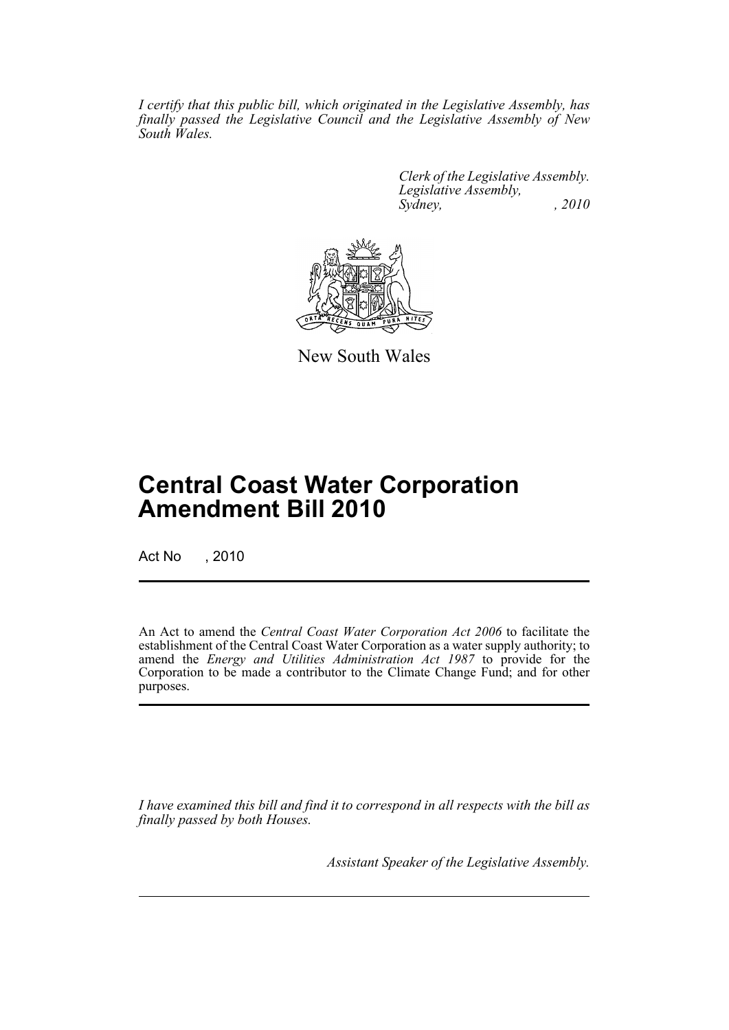*I certify that this public bill, which originated in the Legislative Assembly, has finally passed the Legislative Council and the Legislative Assembly of New South Wales.*

> *Clerk of the Legislative Assembly. Legislative Assembly, Sydney, , 2010*



New South Wales

# **Central Coast Water Corporation Amendment Bill 2010**

Act No , 2010

An Act to amend the *Central Coast Water Corporation Act 2006* to facilitate the establishment of the Central Coast Water Corporation as a water supply authority; to amend the *Energy and Utilities Administration Act 1987* to provide for the Corporation to be made a contributor to the Climate Change Fund; and for other purposes.

*I have examined this bill and find it to correspond in all respects with the bill as finally passed by both Houses.*

*Assistant Speaker of the Legislative Assembly.*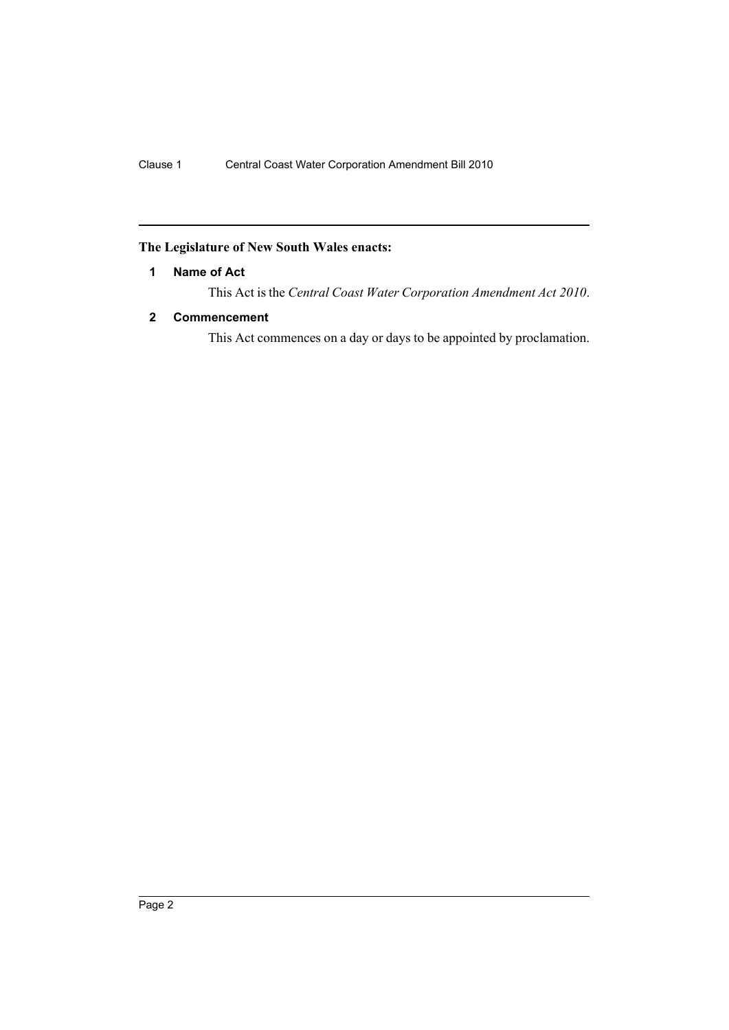## <span id="page-2-0"></span>**The Legislature of New South Wales enacts:**

#### **1 Name of Act**

This Act is the *Central Coast Water Corporation Amendment Act 2010*.

### <span id="page-2-1"></span>**2 Commencement**

This Act commences on a day or days to be appointed by proclamation.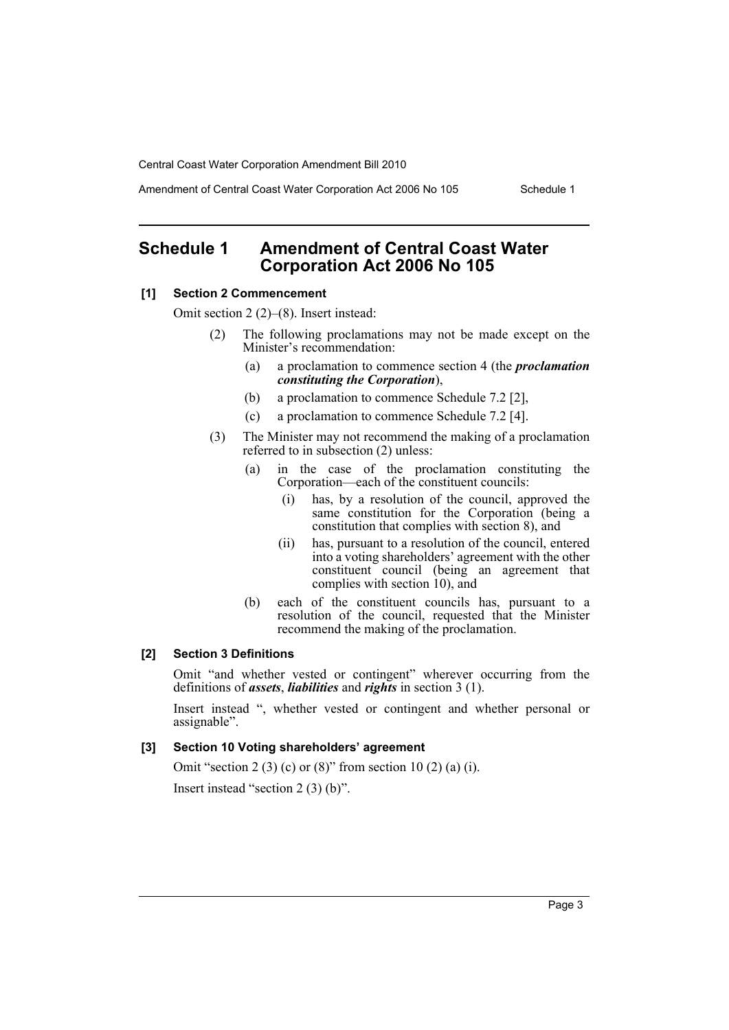Amendment of Central Coast Water Corporation Act 2006 No 105 Schedule 1

# <span id="page-3-0"></span>**Schedule 1 Amendment of Central Coast Water Corporation Act 2006 No 105**

#### **[1] Section 2 Commencement**

Omit section 2 (2)–(8). Insert instead:

- (2) The following proclamations may not be made except on the Minister's recommendation:
	- (a) a proclamation to commence section 4 (the *proclamation constituting the Corporation*),
	- (b) a proclamation to commence Schedule 7.2 [2],
	- (c) a proclamation to commence Schedule 7.2 [4].
- (3) The Minister may not recommend the making of a proclamation referred to in subsection (2) unless:
	- (a) in the case of the proclamation constituting the Corporation—each of the constituent councils:
		- (i) has, by a resolution of the council, approved the same constitution for the Corporation (being a constitution that complies with section 8), and
		- (ii) has, pursuant to a resolution of the council, entered into a voting shareholders' agreement with the other constituent council (being an agreement that complies with section  $10$ ), and
	- (b) each of the constituent councils has, pursuant to a resolution of the council, requested that the Minister recommend the making of the proclamation.

#### **[2] Section 3 Definitions**

Omit "and whether vested or contingent" wherever occurring from the definitions of *assets*, *liabilities* and *rights* in section 3 (1).

Insert instead ", whether vested or contingent and whether personal or assignable".

#### **[3] Section 10 Voting shareholders' agreement**

Omit "section 2 (3) (c) or (8)" from section 10 (2) (a) (i).

Insert instead "section 2 (3) (b)".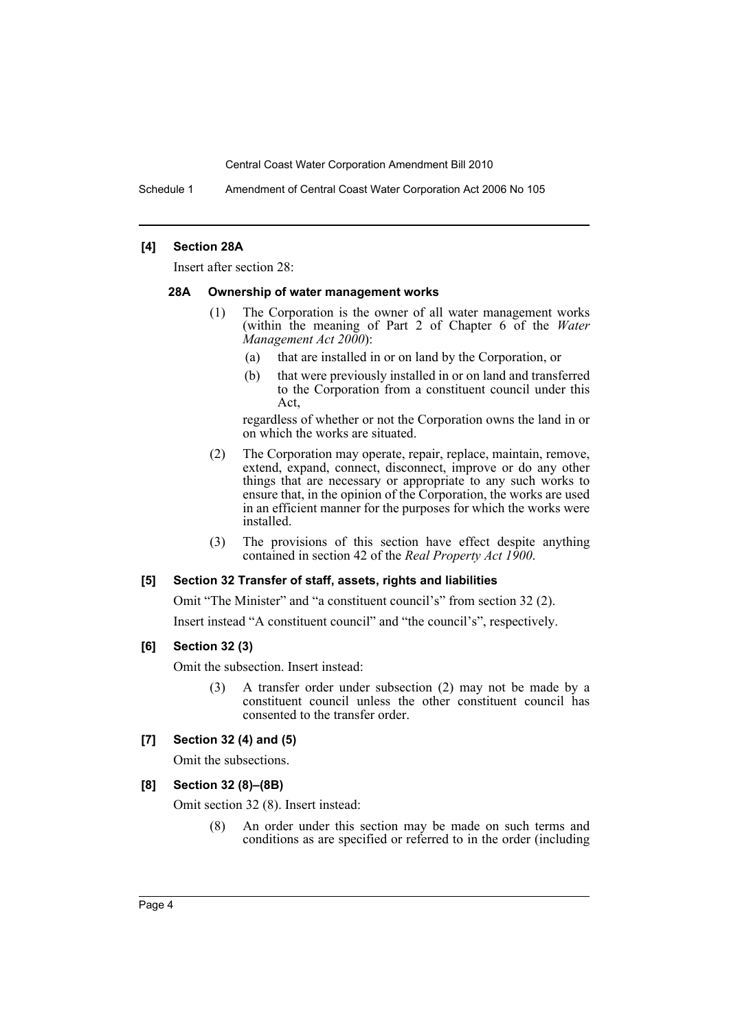Schedule 1 Amendment of Central Coast Water Corporation Act 2006 No 105

#### **[4] Section 28A**

Insert after section 28:

#### **28A Ownership of water management works**

- (1) The Corporation is the owner of all water management works (within the meaning of Part 2 of Chapter 6 of the *Water Management Act 2000*):
	- (a) that are installed in or on land by the Corporation, or
	- (b) that were previously installed in or on land and transferred to the Corporation from a constituent council under this Act,

regardless of whether or not the Corporation owns the land in or on which the works are situated.

- (2) The Corporation may operate, repair, replace, maintain, remove, extend, expand, connect, disconnect, improve or do any other things that are necessary or appropriate to any such works to ensure that, in the opinion of the Corporation, the works are used in an efficient manner for the purposes for which the works were installed.
- (3) The provisions of this section have effect despite anything contained in section 42 of the *Real Property Act 1900*.

#### **[5] Section 32 Transfer of staff, assets, rights and liabilities**

Omit "The Minister" and "a constituent council's" from section 32 (2).

Insert instead "A constituent council" and "the council's", respectively.

#### **[6] Section 32 (3)**

Omit the subsection. Insert instead:

(3) A transfer order under subsection (2) may not be made by a constituent council unless the other constituent council has consented to the transfer order.

#### **[7] Section 32 (4) and (5)**

Omit the subsections.

#### **[8] Section 32 (8)–(8B)**

Omit section 32 (8). Insert instead:

(8) An order under this section may be made on such terms and conditions as are specified or referred to in the order (including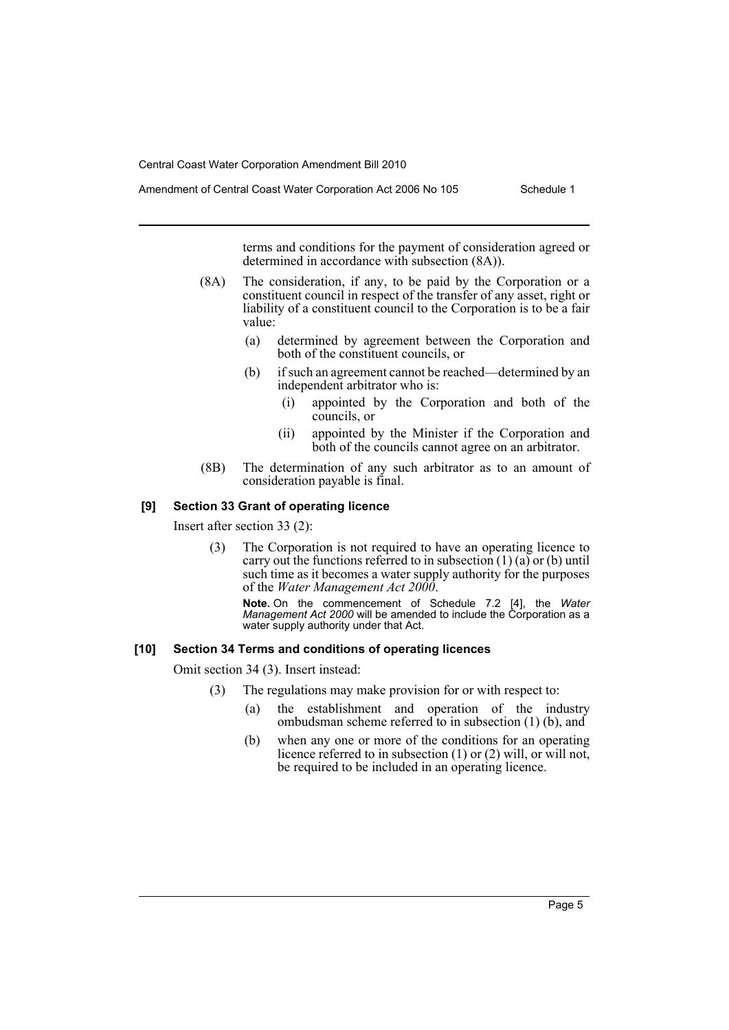Amendment of Central Coast Water Corporation Act 2006 No 105 Schedule 1

terms and conditions for the payment of consideration agreed or determined in accordance with subsection (8A)).

- (8A) The consideration, if any, to be paid by the Corporation or a constituent council in respect of the transfer of any asset, right or liability of a constituent council to the Corporation is to be a fair value:
	- (a) determined by agreement between the Corporation and both of the constituent councils, or
	- (b) if such an agreement cannot be reached—determined by an independent arbitrator who is:
		- (i) appointed by the Corporation and both of the councils, or
		- (ii) appointed by the Minister if the Corporation and both of the councils cannot agree on an arbitrator.
- (8B) The determination of any such arbitrator as to an amount of consideration payable is final.

### **[9] Section 33 Grant of operating licence**

Insert after section 33 (2):

(3) The Corporation is not required to have an operating licence to carry out the functions referred to in subsection  $(1)$   $(a)$  or  $(b)$  until such time as it becomes a water supply authority for the purposes of the *Water Management Act 2000*.

**Note.** On the commencement of Schedule 7.2 [4], the *Water Management Act 2000* will be amended to include the Corporation as a water supply authority under that Act.

#### **[10] Section 34 Terms and conditions of operating licences**

Omit section 34 (3). Insert instead:

- (3) The regulations may make provision for or with respect to:
	- (a) the establishment and operation of the industry ombudsman scheme referred to in subsection (1) (b), and
	- (b) when any one or more of the conditions for an operating licence referred to in subsection (1) or (2) will, or will not, be required to be included in an operating licence.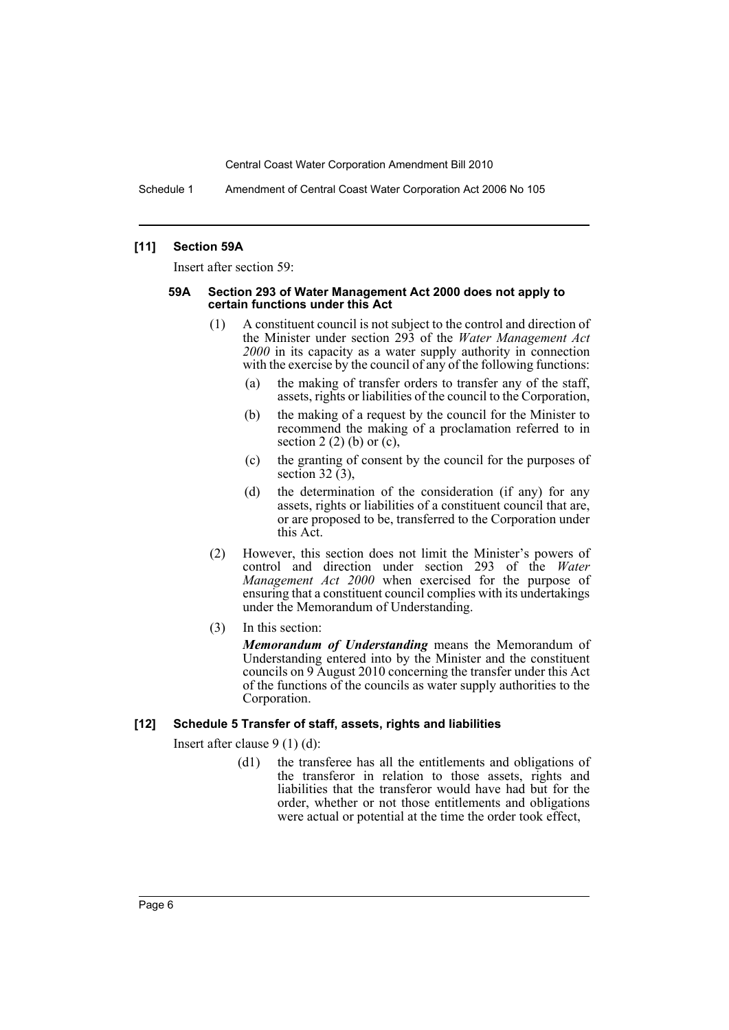Schedule 1 Amendment of Central Coast Water Corporation Act 2006 No 105

#### **[11] Section 59A**

Insert after section 59:

#### **59A Section 293 of Water Management Act 2000 does not apply to certain functions under this Act**

- (1) A constituent council is not subject to the control and direction of the Minister under section 293 of the *Water Management Act 2000* in its capacity as a water supply authority in connection with the exercise by the council of any of the following functions:
	- (a) the making of transfer orders to transfer any of the staff, assets, rights or liabilities of the council to the Corporation,
	- (b) the making of a request by the council for the Minister to recommend the making of a proclamation referred to in section 2  $(2)$  (b) or  $(c)$ ,
	- (c) the granting of consent by the council for the purposes of section 32 $(3)$ ,
	- (d) the determination of the consideration (if any) for any assets, rights or liabilities of a constituent council that are, or are proposed to be, transferred to the Corporation under this Act.
- (2) However, this section does not limit the Minister's powers of control and direction under section 293 of the *Water Management Act 2000* when exercised for the purpose of ensuring that a constituent council complies with its undertakings under the Memorandum of Understanding.
- (3) In this section:

*Memorandum of Understanding* means the Memorandum of Understanding entered into by the Minister and the constituent councils on 9 August 2010 concerning the transfer under this Act of the functions of the councils as water supply authorities to the Corporation.

#### **[12] Schedule 5 Transfer of staff, assets, rights and liabilities**

Insert after clause 9 (1) (d):

(d1) the transferee has all the entitlements and obligations of the transferor in relation to those assets, rights and liabilities that the transferor would have had but for the order, whether or not those entitlements and obligations were actual or potential at the time the order took effect,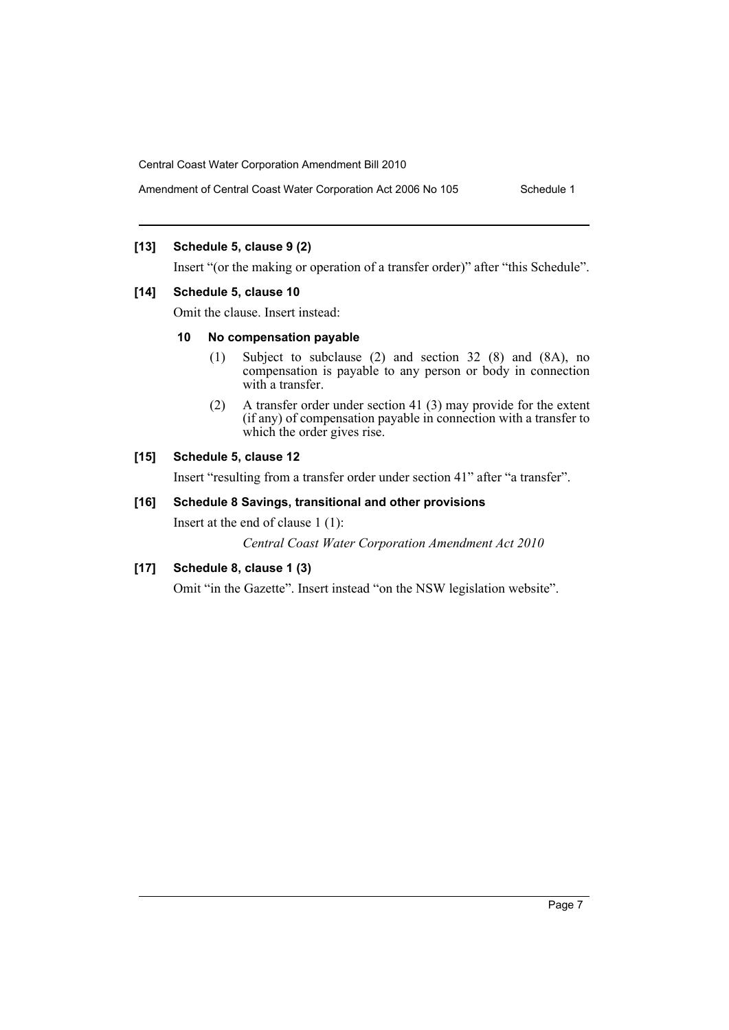Amendment of Central Coast Water Corporation Act 2006 No 105 Schedule 1

### **[13] Schedule 5, clause 9 (2)**

Insert "(or the making or operation of a transfer order)" after "this Schedule".

#### **[14] Schedule 5, clause 10**

Omit the clause. Insert instead:

#### **10 No compensation payable**

- (1) Subject to subclause (2) and section 32 (8) and (8A), no compensation is payable to any person or body in connection with a transfer.
- (2) A transfer order under section 41 (3) may provide for the extent (if any) of compensation payable in connection with a transfer to which the order gives rise.

#### **[15] Schedule 5, clause 12**

Insert "resulting from a transfer order under section 41" after "a transfer".

#### **[16] Schedule 8 Savings, transitional and other provisions**

Insert at the end of clause 1 (1):

*Central Coast Water Corporation Amendment Act 2010*

### **[17] Schedule 8, clause 1 (3)**

Omit "in the Gazette". Insert instead "on the NSW legislation website".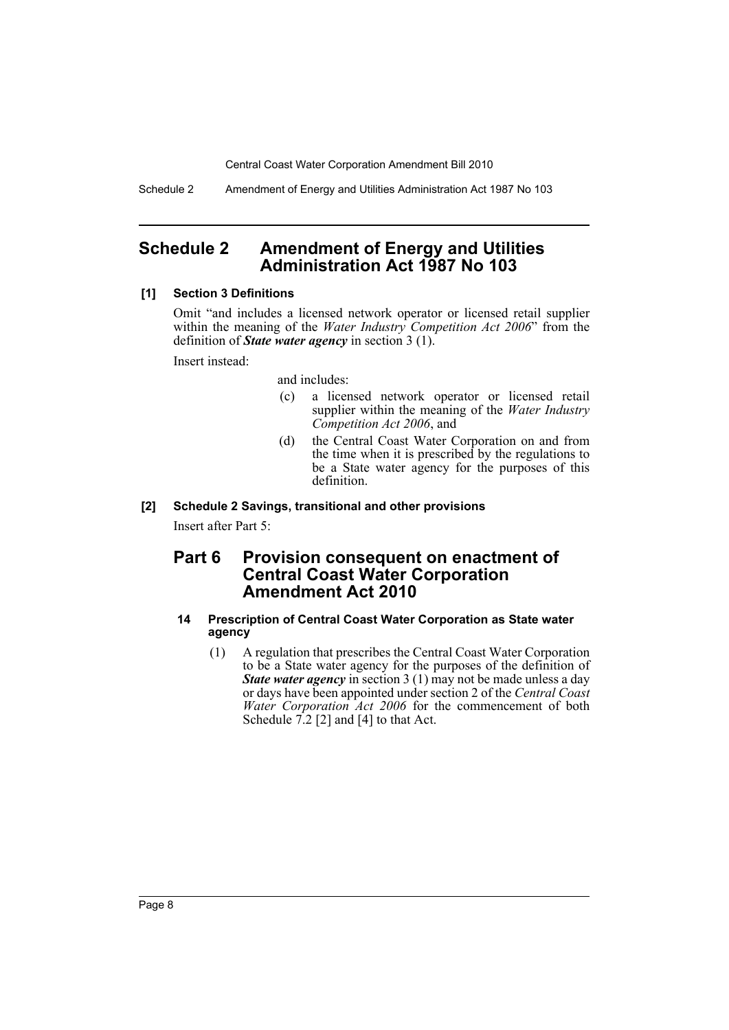Schedule 2 Amendment of Energy and Utilities Administration Act 1987 No 103

# <span id="page-8-0"></span>**Schedule 2 Amendment of Energy and Utilities Administration Act 1987 No 103**

#### **[1] Section 3 Definitions**

Omit "and includes a licensed network operator or licensed retail supplier within the meaning of the *Water Industry Competition Act 2006*" from the definition of *State water agency* in section 3 (1).

Insert instead:

and includes:

- (c) a licensed network operator or licensed retail supplier within the meaning of the *Water Industry Competition Act 2006*, and
- (d) the Central Coast Water Corporation on and from the time when it is prescribed by the regulations to be a State water agency for the purposes of this definition.

#### **[2] Schedule 2 Savings, transitional and other provisions**

Insert after Part 5:

# **Part 6 Provision consequent on enactment of Central Coast Water Corporation Amendment Act 2010**

#### **14 Prescription of Central Coast Water Corporation as State water agency**

(1) A regulation that prescribes the Central Coast Water Corporation to be a State water agency for the purposes of the definition of *State water agency* in section 3 (1) may not be made unless a day or days have been appointed under section 2 of the *Central Coast Water Corporation Act 2006* for the commencement of both Schedule  $7.2$  [2] and [4] to that Act.